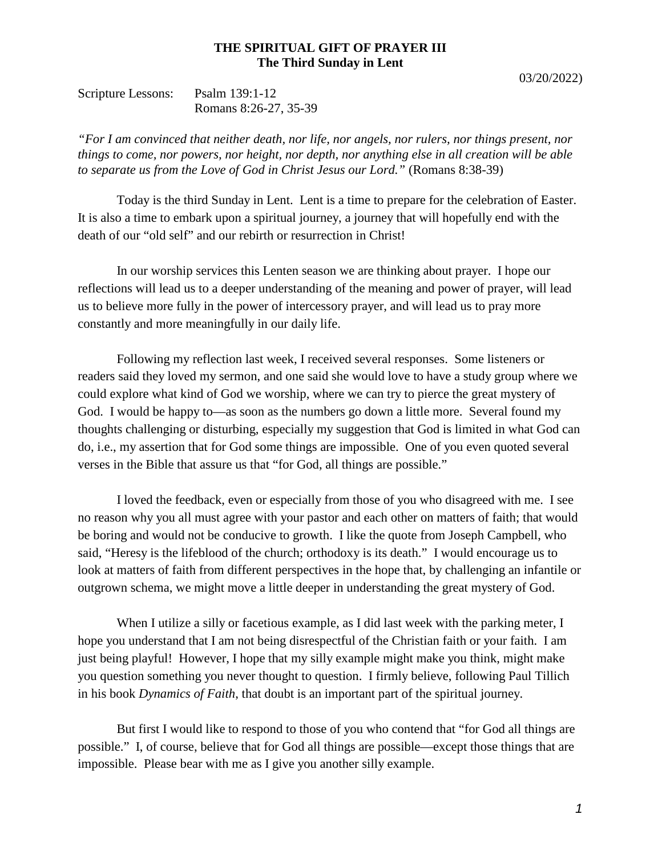## **THE SPIRITUAL GIFT OF PRAYER III The Third Sunday in Lent**

| Scripture Lessons: | Psalm 139:1-12        |
|--------------------|-----------------------|
|                    | Romans 8:26-27, 35-39 |

*"For I am convinced that neither death, nor life, nor angels, nor rulers, nor things present, nor things to come, nor powers, nor height, nor depth, nor anything else in all creation will be able to separate us from the Love of God in Christ Jesus our Lord."* (Romans 8:38-39)

Today is the third Sunday in Lent. Lent is a time to prepare for the celebration of Easter. It is also a time to embark upon a spiritual journey, a journey that will hopefully end with the death of our "old self" and our rebirth or resurrection in Christ!

In our worship services this Lenten season we are thinking about prayer. I hope our reflections will lead us to a deeper understanding of the meaning and power of prayer, will lead us to believe more fully in the power of intercessory prayer, and will lead us to pray more constantly and more meaningfully in our daily life.

Following my reflection last week, I received several responses. Some listeners or readers said they loved my sermon, and one said she would love to have a study group where we could explore what kind of God we worship, where we can try to pierce the great mystery of God. I would be happy to—as soon as the numbers go down a little more. Several found my thoughts challenging or disturbing, especially my suggestion that God is limited in what God can do, i.e., my assertion that for God some things are impossible. One of you even quoted several verses in the Bible that assure us that "for God, all things are possible."

I loved the feedback, even or especially from those of you who disagreed with me. I see no reason why you all must agree with your pastor and each other on matters of faith; that would be boring and would not be conducive to growth. I like the quote from Joseph Campbell, who said, "Heresy is the lifeblood of the church; orthodoxy is its death." I would encourage us to look at matters of faith from different perspectives in the hope that, by challenging an infantile or outgrown schema, we might move a little deeper in understanding the great mystery of God.

When I utilize a silly or facetious example, as I did last week with the parking meter, I hope you understand that I am not being disrespectful of the Christian faith or your faith. I am just being playful! However, I hope that my silly example might make you think, might make you question something you never thought to question. I firmly believe, following Paul Tillich in his book *Dynamics of Faith*, that doubt is an important part of the spiritual journey.

But first I would like to respond to those of you who contend that "for God all things are possible." I, of course, believe that for God all things are possible—except those things that are impossible. Please bear with me as I give you another silly example.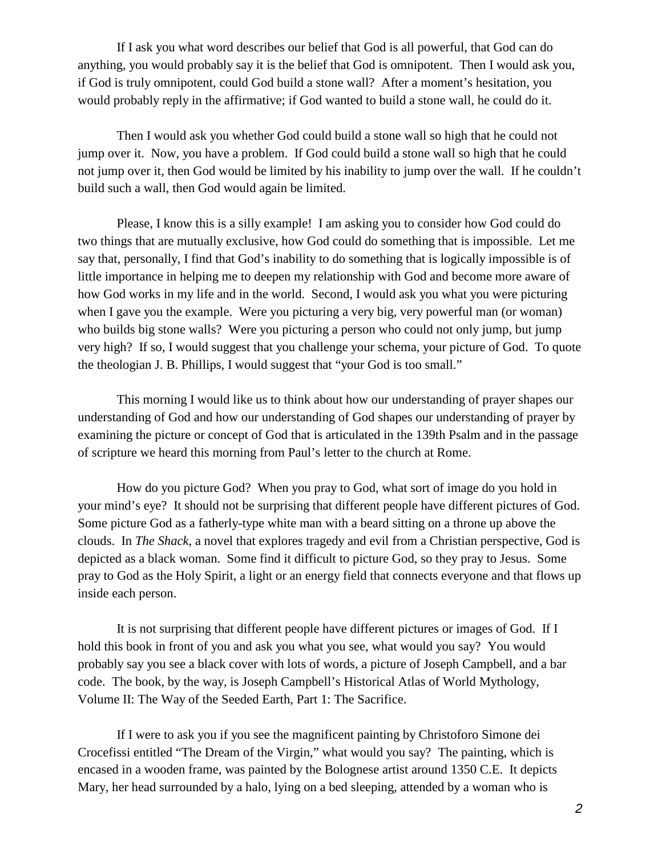If I ask you what word describes our belief that God is all powerful, that God can do anything, you would probably say it is the belief that God is omnipotent. Then I would ask you, if God is truly omnipotent, could God build a stone wall? After a moment's hesitation, you would probably reply in the affirmative; if God wanted to build a stone wall, he could do it.

Then I would ask you whether God could build a stone wall so high that he could not jump over it. Now, you have a problem. If God could build a stone wall so high that he could not jump over it, then God would be limited by his inability to jump over the wall. If he couldn't build such a wall, then God would again be limited.

Please, I know this is a silly example! I am asking you to consider how God could do two things that are mutually exclusive, how God could do something that is impossible. Let me say that, personally, I find that God's inability to do something that is logically impossible is of little importance in helping me to deepen my relationship with God and become more aware of how God works in my life and in the world. Second, I would ask you what you were picturing when I gave you the example. Were you picturing a very big, very powerful man (or woman) who builds big stone walls? Were you picturing a person who could not only jump, but jump very high? If so, I would suggest that you challenge your schema, your picture of God. To quote the theologian J. B. Phillips, I would suggest that "your God is too small."

This morning I would like us to think about how our understanding of prayer shapes our understanding of God and how our understanding of God shapes our understanding of prayer by examining the picture or concept of God that is articulated in the 139th Psalm and in the passage of scripture we heard this morning from Paul's letter to the church at Rome.

How do you picture God? When you pray to God, what sort of image do you hold in your mind's eye? It should not be surprising that different people have different pictures of God. Some picture God as a fatherly-type white man with a beard sitting on a throne up above the clouds. In *The Shack*, a novel that explores tragedy and evil from a Christian perspective, God is depicted as a black woman. Some find it difficult to picture God, so they pray to Jesus. Some pray to God as the Holy Spirit, a light or an energy field that connects everyone and that flows up inside each person.

It is not surprising that different people have different pictures or images of God. If I hold this book in front of you and ask you what you see, what would you say? You would probably say you see a black cover with lots of words, a picture of Joseph Campbell, and a bar code. The book, by the way, is Joseph Campbell's Historical Atlas of World Mythology, Volume II: The Way of the Seeded Earth, Part 1: The Sacrifice.

If I were to ask you if you see the magnificent painting by Christoforo Simone dei Crocefissi entitled "The Dream of the Virgin," what would you say? The painting, which is encased in a wooden frame, was painted by the Bolognese artist around 1350 C.E. It depicts Mary, her head surrounded by a halo, lying on a bed sleeping, attended by a woman who is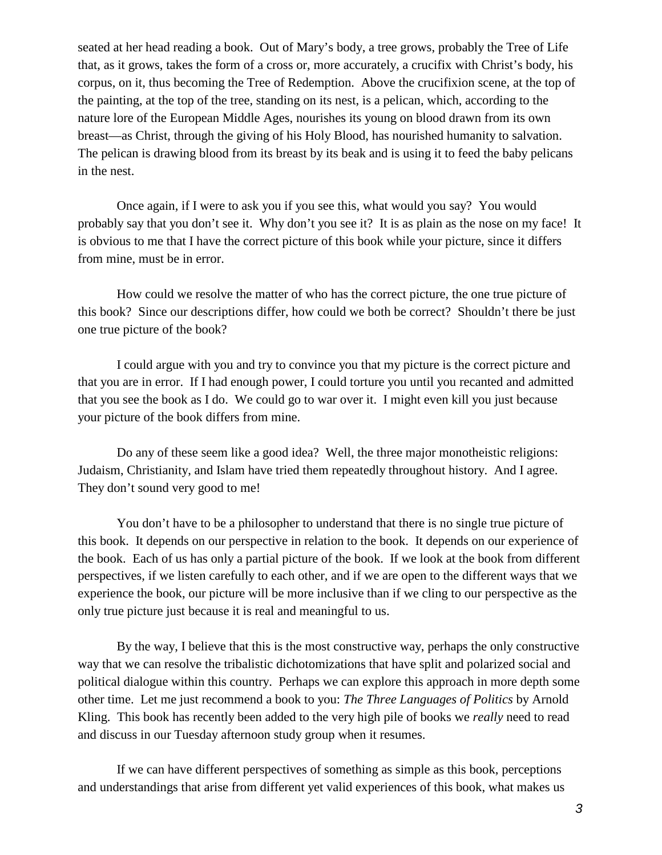seated at her head reading a book. Out of Mary's body, a tree grows, probably the Tree of Life that, as it grows, takes the form of a cross or, more accurately, a crucifix with Christ's body, his corpus, on it, thus becoming the Tree of Redemption. Above the crucifixion scene, at the top of the painting, at the top of the tree, standing on its nest, is a pelican, which, according to the nature lore of the European Middle Ages, nourishes its young on blood drawn from its own breast—as Christ, through the giving of his Holy Blood, has nourished humanity to salvation. The pelican is drawing blood from its breast by its beak and is using it to feed the baby pelicans in the nest.

Once again, if I were to ask you if you see this, what would you say? You would probably say that you don't see it. Why don't you see it? It is as plain as the nose on my face! It is obvious to me that I have the correct picture of this book while your picture, since it differs from mine, must be in error.

How could we resolve the matter of who has the correct picture, the one true picture of this book? Since our descriptions differ, how could we both be correct? Shouldn't there be just one true picture of the book?

I could argue with you and try to convince you that my picture is the correct picture and that you are in error. If I had enough power, I could torture you until you recanted and admitted that you see the book as I do. We could go to war over it. I might even kill you just because your picture of the book differs from mine.

Do any of these seem like a good idea? Well, the three major monotheistic religions: Judaism, Christianity, and Islam have tried them repeatedly throughout history. And I agree. They don't sound very good to me!

You don't have to be a philosopher to understand that there is no single true picture of this book. It depends on our perspective in relation to the book. It depends on our experience of the book. Each of us has only a partial picture of the book. If we look at the book from different perspectives, if we listen carefully to each other, and if we are open to the different ways that we experience the book, our picture will be more inclusive than if we cling to our perspective as the only true picture just because it is real and meaningful to us.

By the way, I believe that this is the most constructive way, perhaps the only constructive way that we can resolve the tribalistic dichotomizations that have split and polarized social and political dialogue within this country. Perhaps we can explore this approach in more depth some other time. Let me just recommend a book to you: *The Three Languages of Politics* by Arnold Kling. This book has recently been added to the very high pile of books we *really* need to read and discuss in our Tuesday afternoon study group when it resumes.

If we can have different perspectives of something as simple as this book, perceptions and understandings that arise from different yet valid experiences of this book, what makes us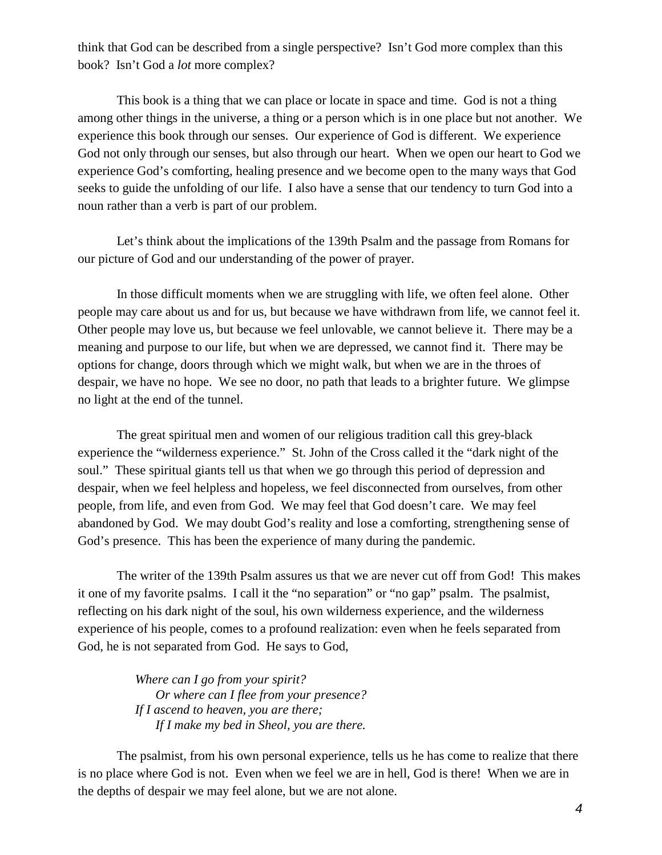think that God can be described from a single perspective? Isn't God more complex than this book? Isn't God a *lot* more complex?

This book is a thing that we can place or locate in space and time. God is not a thing among other things in the universe, a thing or a person which is in one place but not another. We experience this book through our senses. Our experience of God is different. We experience God not only through our senses, but also through our heart. When we open our heart to God we experience God's comforting, healing presence and we become open to the many ways that God seeks to guide the unfolding of our life. I also have a sense that our tendency to turn God into a noun rather than a verb is part of our problem.

Let's think about the implications of the 139th Psalm and the passage from Romans for our picture of God and our understanding of the power of prayer.

In those difficult moments when we are struggling with life, we often feel alone. Other people may care about us and for us, but because we have withdrawn from life, we cannot feel it. Other people may love us, but because we feel unlovable, we cannot believe it. There may be a meaning and purpose to our life, but when we are depressed, we cannot find it. There may be options for change, doors through which we might walk, but when we are in the throes of despair, we have no hope. We see no door, no path that leads to a brighter future. We glimpse no light at the end of the tunnel.

The great spiritual men and women of our religious tradition call this grey-black experience the "wilderness experience." St. John of the Cross called it the "dark night of the soul." These spiritual giants tell us that when we go through this period of depression and despair, when we feel helpless and hopeless, we feel disconnected from ourselves, from other people, from life, and even from God. We may feel that God doesn't care. We may feel abandoned by God. We may doubt God's reality and lose a comforting, strengthening sense of God's presence. This has been the experience of many during the pandemic.

The writer of the 139th Psalm assures us that we are never cut off from God! This makes it one of my favorite psalms. I call it the "no separation" or "no gap" psalm. The psalmist, reflecting on his dark night of the soul, his own wilderness experience, and the wilderness experience of his people, comes to a profound realization: even when he feels separated from God, he is not separated from God. He says to God,

> *Where can I go from your spirit? Or where can I flee from your presence? If I ascend to heaven, you are there; If I make my bed in Sheol, you are there.*

The psalmist, from his own personal experience, tells us he has come to realize that there is no place where God is not. Even when we feel we are in hell, God is there! When we are in the depths of despair we may feel alone, but we are not alone.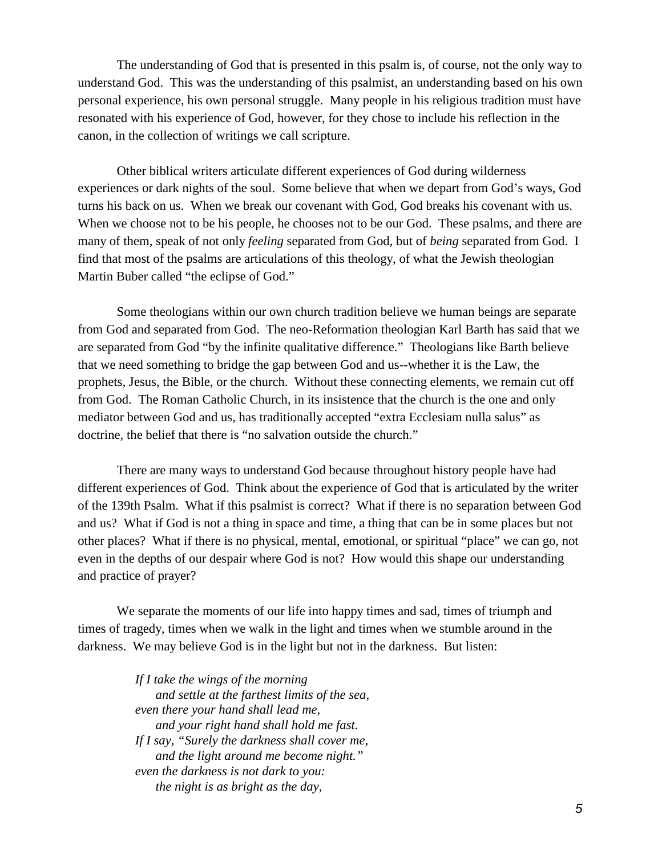The understanding of God that is presented in this psalm is, of course, not the only way to understand God. This was the understanding of this psalmist, an understanding based on his own personal experience, his own personal struggle. Many people in his religious tradition must have resonated with his experience of God, however, for they chose to include his reflection in the canon, in the collection of writings we call scripture.

Other biblical writers articulate different experiences of God during wilderness experiences or dark nights of the soul. Some believe that when we depart from God's ways, God turns his back on us. When we break our covenant with God, God breaks his covenant with us. When we choose not to be his people, he chooses not to be our God. These psalms, and there are many of them, speak of not only *feeling* separated from God, but of *being* separated from God. I find that most of the psalms are articulations of this theology, of what the Jewish theologian Martin Buber called "the eclipse of God."

Some theologians within our own church tradition believe we human beings are separate from God and separated from God. The neo-Reformation theologian Karl Barth has said that we are separated from God "by the infinite qualitative difference." Theologians like Barth believe that we need something to bridge the gap between God and us--whether it is the Law, the prophets, Jesus, the Bible, or the church. Without these connecting elements, we remain cut off from God. The Roman Catholic Church, in its insistence that the church is the one and only mediator between God and us, has traditionally accepted "extra Ecclesiam nulla salus" as doctrine, the belief that there is "no salvation outside the church."

There are many ways to understand God because throughout history people have had different experiences of God. Think about the experience of God that is articulated by the writer of the 139th Psalm. What if this psalmist is correct? What if there is no separation between God and us? What if God is not a thing in space and time, a thing that can be in some places but not other places? What if there is no physical, mental, emotional, or spiritual "place" we can go, not even in the depths of our despair where God is not? How would this shape our understanding and practice of prayer?

We separate the moments of our life into happy times and sad, times of triumph and times of tragedy, times when we walk in the light and times when we stumble around in the darkness. We may believe God is in the light but not in the darkness. But listen:

> *If I take the wings of the morning and settle at the farthest limits of the sea, even there your hand shall lead me, and your right hand shall hold me fast. If I say, "Surely the darkness shall cover me, and the light around me become night." even the darkness is not dark to you: the night is as bright as the day,*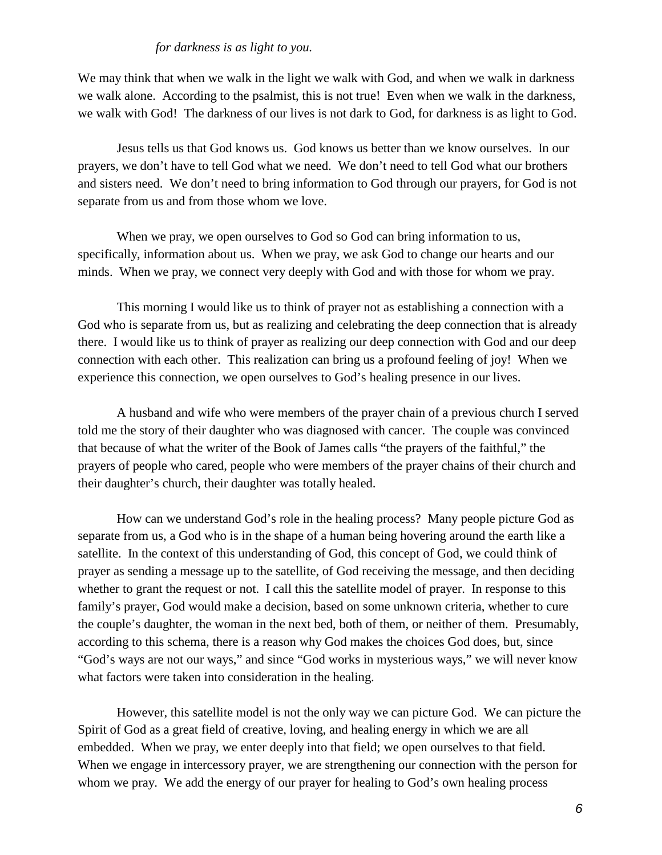## *for darkness is as light to you.*

We may think that when we walk in the light we walk with God, and when we walk in darkness we walk alone. According to the psalmist, this is not true! Even when we walk in the darkness, we walk with God! The darkness of our lives is not dark to God, for darkness is as light to God.

Jesus tells us that God knows us. God knows us better than we know ourselves. In our prayers, we don't have to tell God what we need. We don't need to tell God what our brothers and sisters need. We don't need to bring information to God through our prayers, for God is not separate from us and from those whom we love.

When we pray, we open ourselves to God so God can bring information to us, specifically, information about us. When we pray, we ask God to change our hearts and our minds. When we pray, we connect very deeply with God and with those for whom we pray.

This morning I would like us to think of prayer not as establishing a connection with a God who is separate from us, but as realizing and celebrating the deep connection that is already there. I would like us to think of prayer as realizing our deep connection with God and our deep connection with each other. This realization can bring us a profound feeling of joy! When we experience this connection, we open ourselves to God's healing presence in our lives.

A husband and wife who were members of the prayer chain of a previous church I served told me the story of their daughter who was diagnosed with cancer. The couple was convinced that because of what the writer of the Book of James calls "the prayers of the faithful," the prayers of people who cared, people who were members of the prayer chains of their church and their daughter's church, their daughter was totally healed.

How can we understand God's role in the healing process? Many people picture God as separate from us, a God who is in the shape of a human being hovering around the earth like a satellite. In the context of this understanding of God, this concept of God, we could think of prayer as sending a message up to the satellite, of God receiving the message, and then deciding whether to grant the request or not. I call this the satellite model of prayer. In response to this family's prayer, God would make a decision, based on some unknown criteria, whether to cure the couple's daughter, the woman in the next bed, both of them, or neither of them. Presumably, according to this schema, there is a reason why God makes the choices God does, but, since "God's ways are not our ways," and since "God works in mysterious ways," we will never know what factors were taken into consideration in the healing.

However, this satellite model is not the only way we can picture God. We can picture the Spirit of God as a great field of creative, loving, and healing energy in which we are all embedded. When we pray, we enter deeply into that field; we open ourselves to that field. When we engage in intercessory prayer, we are strengthening our connection with the person for whom we pray. We add the energy of our prayer for healing to God's own healing process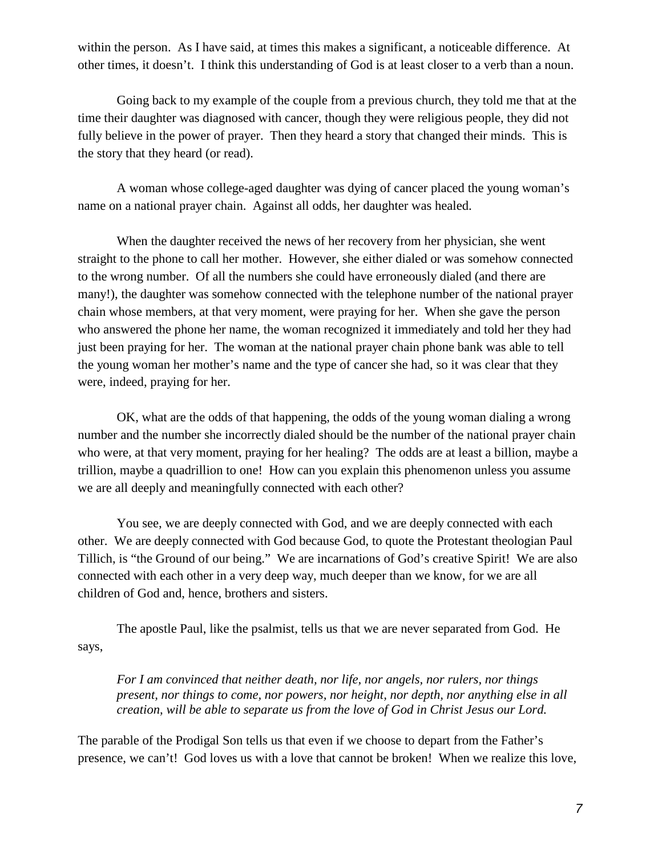within the person. As I have said, at times this makes a significant, a noticeable difference. At other times, it doesn't. I think this understanding of God is at least closer to a verb than a noun.

Going back to my example of the couple from a previous church, they told me that at the time their daughter was diagnosed with cancer, though they were religious people, they did not fully believe in the power of prayer. Then they heard a story that changed their minds. This is the story that they heard (or read).

A woman whose college-aged daughter was dying of cancer placed the young woman's name on a national prayer chain. Against all odds, her daughter was healed.

When the daughter received the news of her recovery from her physician, she went straight to the phone to call her mother. However, she either dialed or was somehow connected to the wrong number. Of all the numbers she could have erroneously dialed (and there are many!), the daughter was somehow connected with the telephone number of the national prayer chain whose members, at that very moment, were praying for her. When she gave the person who answered the phone her name, the woman recognized it immediately and told her they had just been praying for her. The woman at the national prayer chain phone bank was able to tell the young woman her mother's name and the type of cancer she had, so it was clear that they were, indeed, praying for her.

OK, what are the odds of that happening, the odds of the young woman dialing a wrong number and the number she incorrectly dialed should be the number of the national prayer chain who were, at that very moment, praying for her healing? The odds are at least a billion, maybe a trillion, maybe a quadrillion to one! How can you explain this phenomenon unless you assume we are all deeply and meaningfully connected with each other?

You see, we are deeply connected with God, and we are deeply connected with each other. We are deeply connected with God because God, to quote the Protestant theologian Paul Tillich, is "the Ground of our being." We are incarnations of God's creative Spirit! We are also connected with each other in a very deep way, much deeper than we know, for we are all children of God and, hence, brothers and sisters.

The apostle Paul, like the psalmist, tells us that we are never separated from God. He says,

*For I am convinced that neither death, nor life, nor angels, nor rulers, nor things present, nor things to come, nor powers, nor height, nor depth, nor anything else in all creation, will be able to separate us from the love of God in Christ Jesus our Lord.*

The parable of the Prodigal Son tells us that even if we choose to depart from the Father's presence, we can't! God loves us with a love that cannot be broken! When we realize this love,